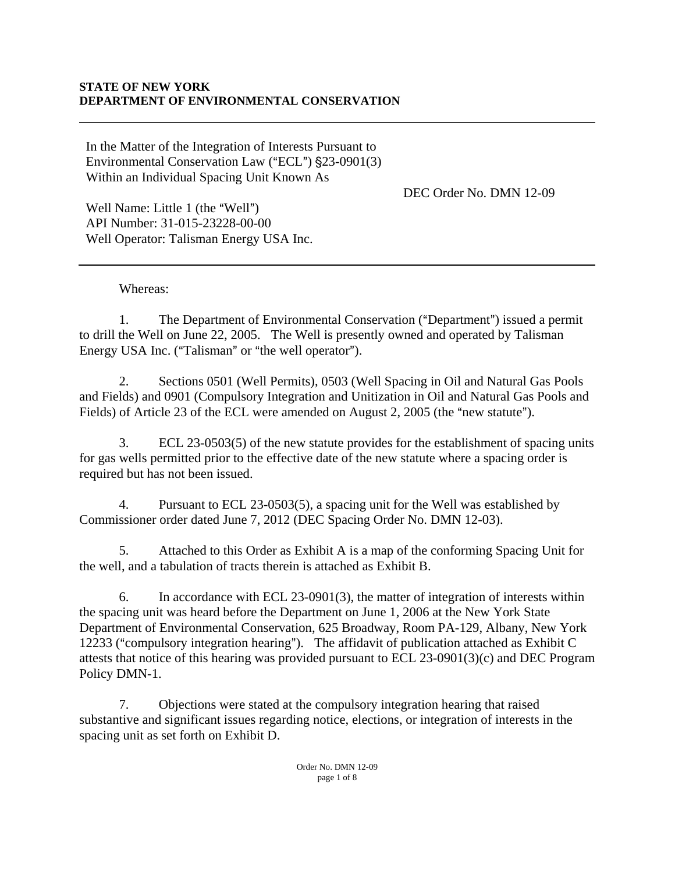In the Matter of the Integration of Interests Pursuant to Environmental Conservation Law ("ECL")  $\S$ 23-0901(3) Within an Individual Spacing Unit Known As

DEC Order No. DMN 12-09

Well Name: Little 1 (the "Well") API Number: 31-015-23228-00-00 Well Operator: Talisman Energy USA Inc.

Whereas:

1. The Department of Environmental Conservation ("Department") issued a permit to drill the Well on June 22, 2005. The Well is presently owned and operated by Talisman Energy USA Inc. ("Talisman" or "the well operator").

2. Sections 0501 (Well Permits), 0503 (Well Spacing in Oil and Natural Gas Pools and Fields) and 0901 (Compulsory Integration and Unitization in Oil and Natural Gas Pools and Fields) of Article 23 of the ECL were amended on August 2, 2005 (the "new statute").

3. ECL 23-0503(5) of the new statute provides for the establishment of spacing units for gas wells permitted prior to the effective date of the new statute where a spacing order is required but has not been issued.

4. Pursuant to ECL 23-0503(5), a spacing unit for the Well was established by Commissioner order dated June 7, 2012 (DEC Spacing Order No. DMN 12-03).

5. Attached to this Order as Exhibit A is a map of the conforming Spacing Unit for the well, and a tabulation of tracts therein is attached as Exhibit B.

6. In accordance with ECL 23-0901(3), the matter of integration of interests within the spacing unit was heard before the Department on June 1, 2006 at the New York State Department of Environmental Conservation, 625 Broadway, Room PA-129, Albany, New York 12233 ("compulsory integration hearing"). The affidavit of publication attached as Exhibit C attests that notice of this hearing was provided pursuant to ECL 23-0901(3)(c) and DEC Program Policy DMN-1.

7. Objections were stated at the compulsory integration hearing that raised substantive and significant issues regarding notice, elections, or integration of interests in the spacing unit as set forth on Exhibit D.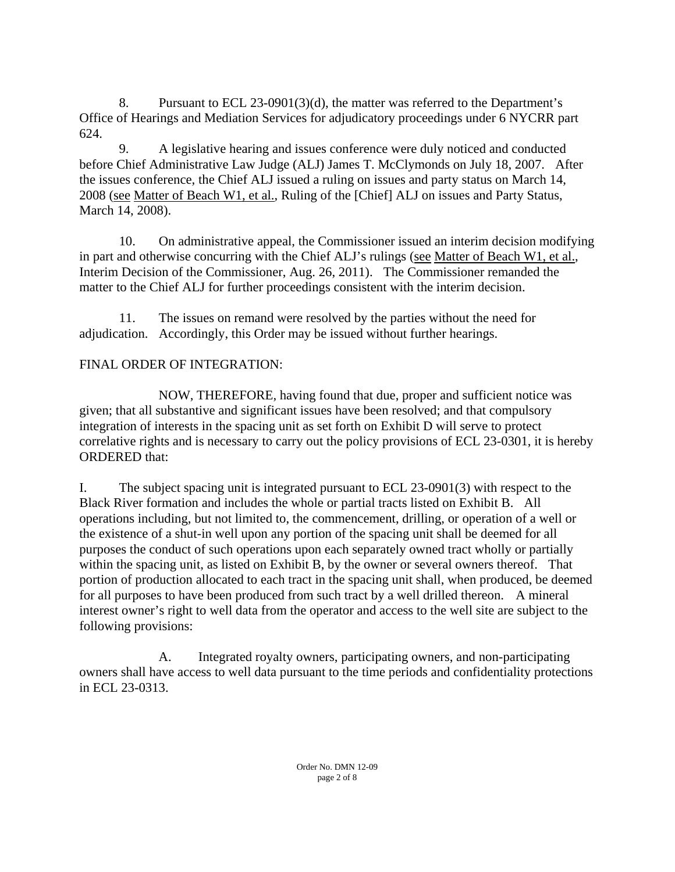8. Pursuant to ECL 23-0901(3)(d), the matter was referred to the Department's Office of Hearings and Mediation Services for adjudicatory proceedings under 6 NYCRR part 624.

9. A legislative hearing and issues conference were duly noticed and conducted before Chief Administrative Law Judge (ALJ) James T. McClymonds on July 18, 2007. After the issues conference, the Chief ALJ issued a ruling on issues and party status on March 14, 2008 (see Matter of Beach W1, et al., Ruling of the [Chief] ALJ on issues and Party Status, March 14, 2008).

10. On administrative appeal, the Commissioner issued an interim decision modifying in part and otherwise concurring with the Chief ALJ's rulings (see Matter of Beach W1, et al., Interim Decision of the Commissioner, Aug. 26, 2011). The Commissioner remanded the matter to the Chief ALJ for further proceedings consistent with the interim decision.

11. The issues on remand were resolved by the parties without the need for adjudication. Accordingly, this Order may be issued without further hearings.

## FINAL ORDER OF INTEGRATION:

NOW, THEREFORE, having found that due, proper and sufficient notice was given; that all substantive and significant issues have been resolved; and that compulsory integration of interests in the spacing unit as set forth on Exhibit D will serve to protect correlative rights and is necessary to carry out the policy provisions of ECL 23-0301, it is hereby ORDERED that:

I. The subject spacing unit is integrated pursuant to ECL 23-0901(3) with respect to the Black River formation and includes the whole or partial tracts listed on Exhibit B. All operations including, but not limited to, the commencement, drilling, or operation of a well or the existence of a shut-in well upon any portion of the spacing unit shall be deemed for all purposes the conduct of such operations upon each separately owned tract wholly or partially within the spacing unit, as listed on Exhibit B, by the owner or several owners thereof. That portion of production allocated to each tract in the spacing unit shall, when produced, be deemed for all purposes to have been produced from such tract by a well drilled thereon. A mineral interest owner's right to well data from the operator and access to the well site are subject to the following provisions:

 A. Integrated royalty owners, participating owners, and non-participating owners shall have access to well data pursuant to the time periods and confidentiality protections in ECL 23-0313.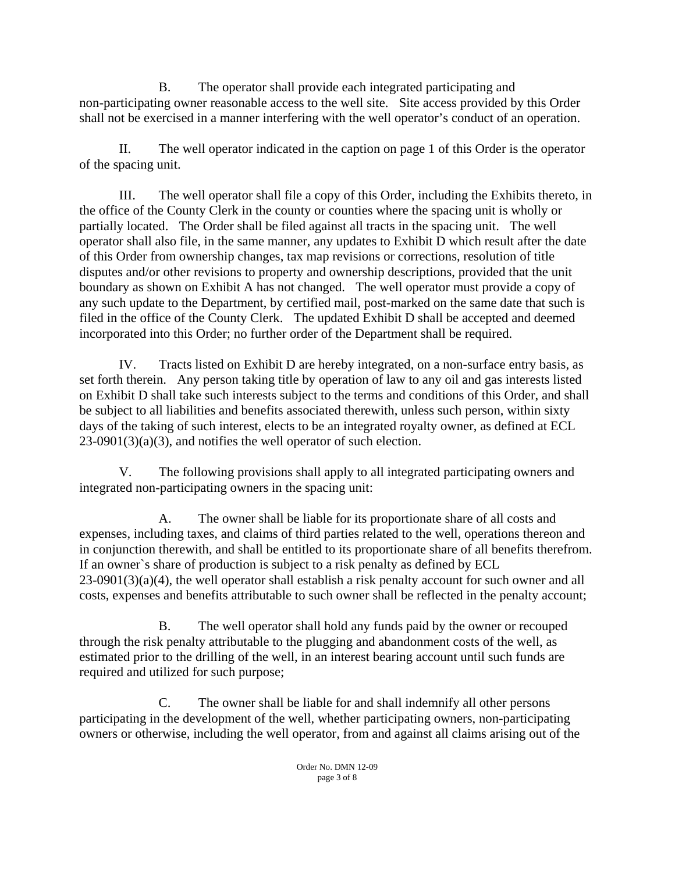B. The operator shall provide each integrated participating and non-participating owner reasonable access to the well site. Site access provided by this Order shall not be exercised in a manner interfering with the well operator's conduct of an operation.

II. The well operator indicated in the caption on page 1 of this Order is the operator of the spacing unit.

III. The well operator shall file a copy of this Order, including the Exhibits thereto, in the office of the County Clerk in the county or counties where the spacing unit is wholly or partially located. The Order shall be filed against all tracts in the spacing unit. The well operator shall also file, in the same manner, any updates to Exhibit D which result after the date of this Order from ownership changes, tax map revisions or corrections, resolution of title disputes and/or other revisions to property and ownership descriptions, provided that the unit boundary as shown on Exhibit A has not changed. The well operator must provide a copy of any such update to the Department, by certified mail, post-marked on the same date that such is filed in the office of the County Clerk. The updated Exhibit D shall be accepted and deemed incorporated into this Order; no further order of the Department shall be required.

IV. Tracts listed on Exhibit D are hereby integrated, on a non-surface entry basis, as set forth therein. Any person taking title by operation of law to any oil and gas interests listed on Exhibit D shall take such interests subject to the terms and conditions of this Order, and shall be subject to all liabilities and benefits associated therewith, unless such person, within sixty days of the taking of such interest, elects to be an integrated royalty owner, as defined at ECL  $23-0901(3)(a)(3)$ , and notifies the well operator of such election.

V. The following provisions shall apply to all integrated participating owners and integrated non-participating owners in the spacing unit:

A. The owner shall be liable for its proportionate share of all costs and expenses, including taxes, and claims of third parties related to the well, operations thereon and in conjunction therewith, and shall be entitled to its proportionate share of all benefits therefrom. If an owner`s share of production is subject to a risk penalty as defined by ECL 23-0901(3)(a)(4), the well operator shall establish a risk penalty account for such owner and all costs, expenses and benefits attributable to such owner shall be reflected in the penalty account;

B. The well operator shall hold any funds paid by the owner or recouped through the risk penalty attributable to the plugging and abandonment costs of the well, as estimated prior to the drilling of the well, in an interest bearing account until such funds are required and utilized for such purpose;

C. The owner shall be liable for and shall indemnify all other persons participating in the development of the well, whether participating owners, non-participating owners or otherwise, including the well operator, from and against all claims arising out of the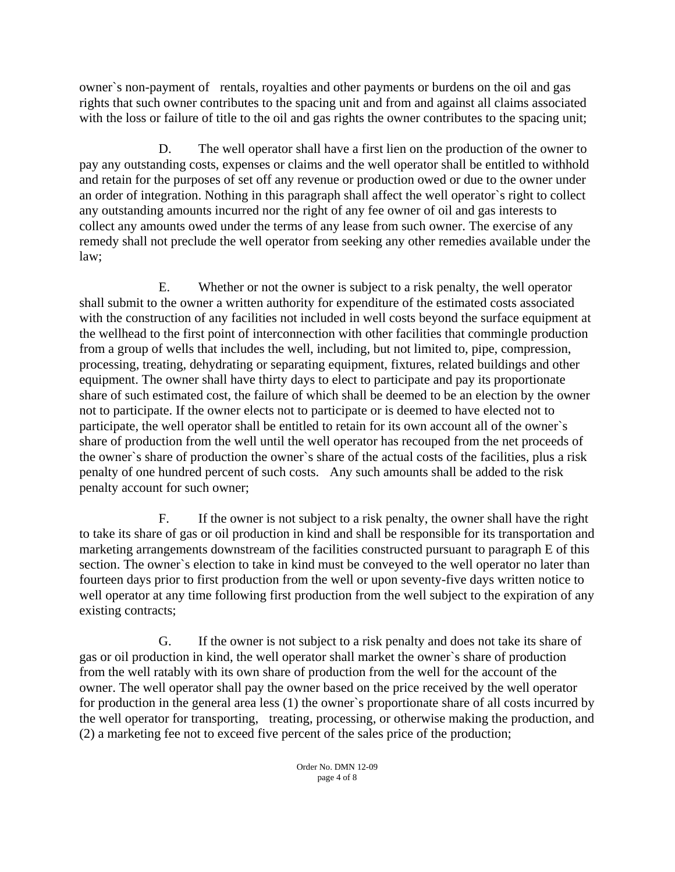owner`s non-payment of rentals, royalties and other payments or burdens on the oil and gas rights that such owner contributes to the spacing unit and from and against all claims associated with the loss or failure of title to the oil and gas rights the owner contributes to the spacing unit;

D. The well operator shall have a first lien on the production of the owner to pay any outstanding costs, expenses or claims and the well operator shall be entitled to withhold and retain for the purposes of set off any revenue or production owed or due to the owner under an order of integration. Nothing in this paragraph shall affect the well operator`s right to collect any outstanding amounts incurred nor the right of any fee owner of oil and gas interests to collect any amounts owed under the terms of any lease from such owner. The exercise of any remedy shall not preclude the well operator from seeking any other remedies available under the law;

E. Whether or not the owner is subject to a risk penalty, the well operator shall submit to the owner a written authority for expenditure of the estimated costs associated with the construction of any facilities not included in well costs beyond the surface equipment at the wellhead to the first point of interconnection with other facilities that commingle production from a group of wells that includes the well, including, but not limited to, pipe, compression, processing, treating, dehydrating or separating equipment, fixtures, related buildings and other equipment. The owner shall have thirty days to elect to participate and pay its proportionate share of such estimated cost, the failure of which shall be deemed to be an election by the owner not to participate. If the owner elects not to participate or is deemed to have elected not to participate, the well operator shall be entitled to retain for its own account all of the owner`s share of production from the well until the well operator has recouped from the net proceeds of the owner`s share of production the owner`s share of the actual costs of the facilities, plus a risk penalty of one hundred percent of such costs. Any such amounts shall be added to the risk penalty account for such owner;

F. If the owner is not subject to a risk penalty, the owner shall have the right to take its share of gas or oil production in kind and shall be responsible for its transportation and marketing arrangements downstream of the facilities constructed pursuant to paragraph E of this section. The owner`s election to take in kind must be conveyed to the well operator no later than fourteen days prior to first production from the well or upon seventy-five days written notice to well operator at any time following first production from the well subject to the expiration of any existing contracts;

G. If the owner is not subject to a risk penalty and does not take its share of gas or oil production in kind, the well operator shall market the owner`s share of production from the well ratably with its own share of production from the well for the account of the owner. The well operator shall pay the owner based on the price received by the well operator for production in the general area less (1) the owner`s proportionate share of all costs incurred by the well operator for transporting, treating, processing, or otherwise making the production, and (2) a marketing fee not to exceed five percent of the sales price of the production;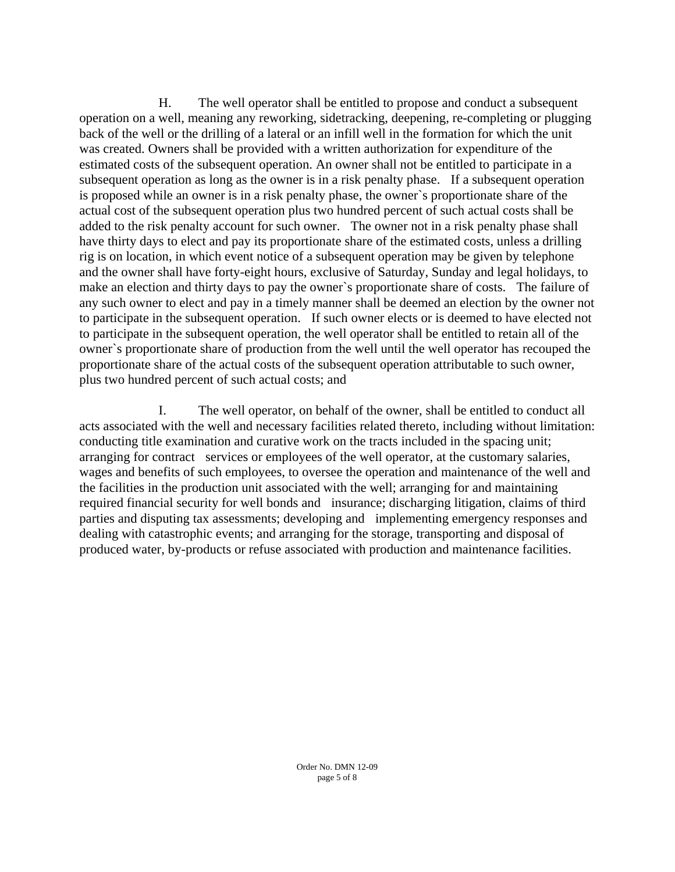H. The well operator shall be entitled to propose and conduct a subsequent operation on a well, meaning any reworking, sidetracking, deepening, re-completing or plugging back of the well or the drilling of a lateral or an infill well in the formation for which the unit was created. Owners shall be provided with a written authorization for expenditure of the estimated costs of the subsequent operation. An owner shall not be entitled to participate in a subsequent operation as long as the owner is in a risk penalty phase. If a subsequent operation is proposed while an owner is in a risk penalty phase, the owner`s proportionate share of the actual cost of the subsequent operation plus two hundred percent of such actual costs shall be added to the risk penalty account for such owner. The owner not in a risk penalty phase shall have thirty days to elect and pay its proportionate share of the estimated costs, unless a drilling rig is on location, in which event notice of a subsequent operation may be given by telephone and the owner shall have forty-eight hours, exclusive of Saturday, Sunday and legal holidays, to make an election and thirty days to pay the owner`s proportionate share of costs. The failure of any such owner to elect and pay in a timely manner shall be deemed an election by the owner not to participate in the subsequent operation. If such owner elects or is deemed to have elected not to participate in the subsequent operation, the well operator shall be entitled to retain all of the owner`s proportionate share of production from the well until the well operator has recouped the proportionate share of the actual costs of the subsequent operation attributable to such owner, plus two hundred percent of such actual costs; and

I. The well operator, on behalf of the owner, shall be entitled to conduct all acts associated with the well and necessary facilities related thereto, including without limitation: conducting title examination and curative work on the tracts included in the spacing unit; arranging for contract services or employees of the well operator, at the customary salaries, wages and benefits of such employees, to oversee the operation and maintenance of the well and the facilities in the production unit associated with the well; arranging for and maintaining required financial security for well bonds and insurance; discharging litigation, claims of third parties and disputing tax assessments; developing and implementing emergency responses and dealing with catastrophic events; and arranging for the storage, transporting and disposal of produced water, by-products or refuse associated with production and maintenance facilities.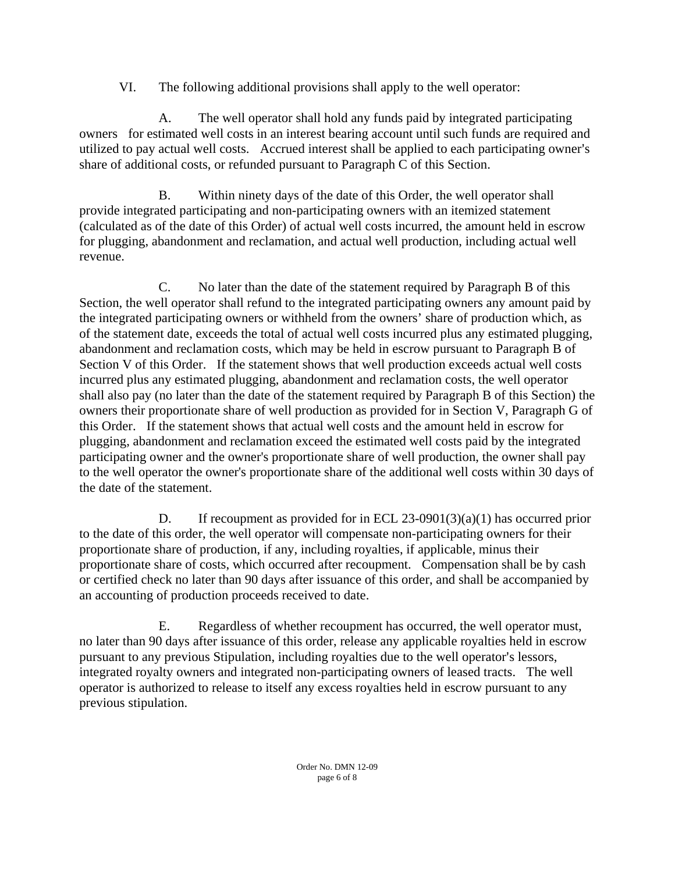VI. The following additional provisions shall apply to the well operator:

A. The well operator shall hold any funds paid by integrated participating owners for estimated well costs in an interest bearing account until such funds are required and utilized to pay actual well costs. Accrued interest shall be applied to each participating owner's share of additional costs, or refunded pursuant to Paragraph C of this Section.

 B. Within ninety days of the date of this Order, the well operator shall provide integrated participating and non-participating owners with an itemized statement (calculated as of the date of this Order) of actual well costs incurred, the amount held in escrow for plugging, abandonment and reclamation, and actual well production, including actual well revenue.

C. No later than the date of the statement required by Paragraph B of this Section, the well operator shall refund to the integrated participating owners any amount paid by the integrated participating owners or withheld from the owners' share of production which, as of the statement date, exceeds the total of actual well costs incurred plus any estimated plugging, abandonment and reclamation costs, which may be held in escrow pursuant to Paragraph B of Section V of this Order. If the statement shows that well production exceeds actual well costs incurred plus any estimated plugging, abandonment and reclamation costs, the well operator shall also pay (no later than the date of the statement required by Paragraph B of this Section) the owners their proportionate share of well production as provided for in Section V, Paragraph G of this Order. If the statement shows that actual well costs and the amount held in escrow for plugging, abandonment and reclamation exceed the estimated well costs paid by the integrated participating owner and the owner's proportionate share of well production, the owner shall pay to the well operator the owner's proportionate share of the additional well costs within 30 days of the date of the statement.

D. If recoupment as provided for in ECL 23-0901(3)(a)(1) has occurred prior to the date of this order, the well operator will compensate non-participating owners for their proportionate share of production, if any, including royalties, if applicable, minus their proportionate share of costs, which occurred after recoupment. Compensation shall be by cash or certified check no later than 90 days after issuance of this order, and shall be accompanied by an accounting of production proceeds received to date.

E. Regardless of whether recoupment has occurred, the well operator must, no later than 90 days after issuance of this order, release any applicable royalties held in escrow pursuant to any previous Stipulation, including royalties due to the well operator's lessors, integrated royalty owners and integrated non-participating owners of leased tracts. The well operator is authorized to release to itself any excess royalties held in escrow pursuant to any previous stipulation.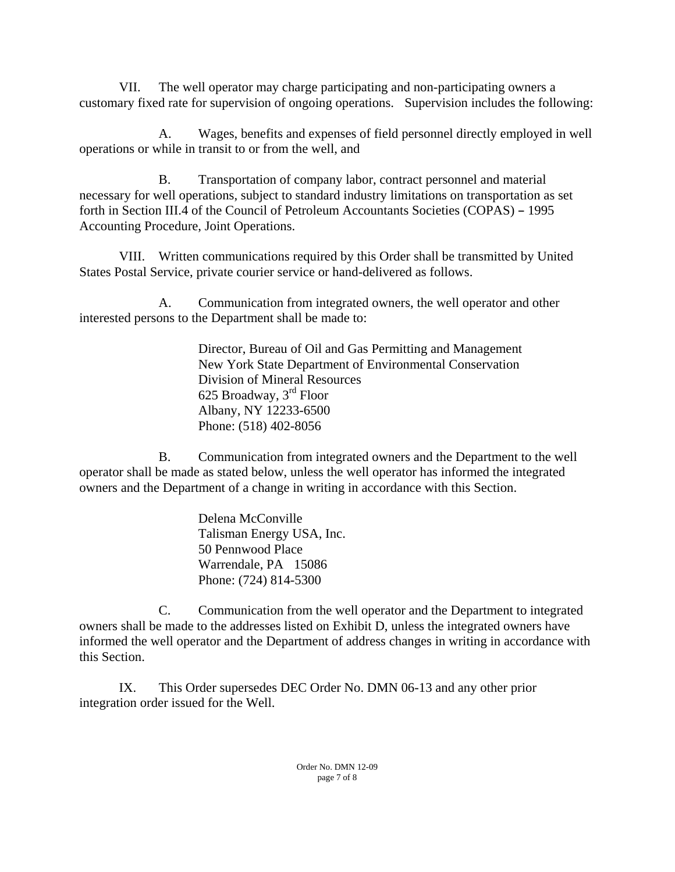VII. The well operator may charge participating and non-participating owners a customary fixed rate for supervision of ongoing operations. Supervision includes the following:

A. Wages, benefits and expenses of field personnel directly employed in well operations or while in transit to or from the well, and

B. Transportation of company labor, contract personnel and material necessary for well operations, subject to standard industry limitations on transportation as set forth in Section III.4 of the Council of Petroleum Accountants Societies (COPAS) - 1995 Accounting Procedure, Joint Operations.

VIII. Written communications required by this Order shall be transmitted by United States Postal Service, private courier service or hand-delivered as follows.

A. Communication from integrated owners, the well operator and other interested persons to the Department shall be made to:

> Director, Bureau of Oil and Gas Permitting and Management New York State Department of Environmental Conservation Division of Mineral Resources 625 Broadway, 3rd Floor Albany, NY 12233-6500 Phone: (518) 402-8056

B. Communication from integrated owners and the Department to the well operator shall be made as stated below, unless the well operator has informed the integrated owners and the Department of a change in writing in accordance with this Section.

> Delena McConville Talisman Energy USA, Inc. 50 Pennwood Place Warrendale, PA 15086 Phone: (724) 814-5300

C. Communication from the well operator and the Department to integrated owners shall be made to the addresses listed on Exhibit D, unless the integrated owners have informed the well operator and the Department of address changes in writing in accordance with this Section.

IX. This Order supersedes DEC Order No. DMN 06-13 and any other prior integration order issued for the Well.